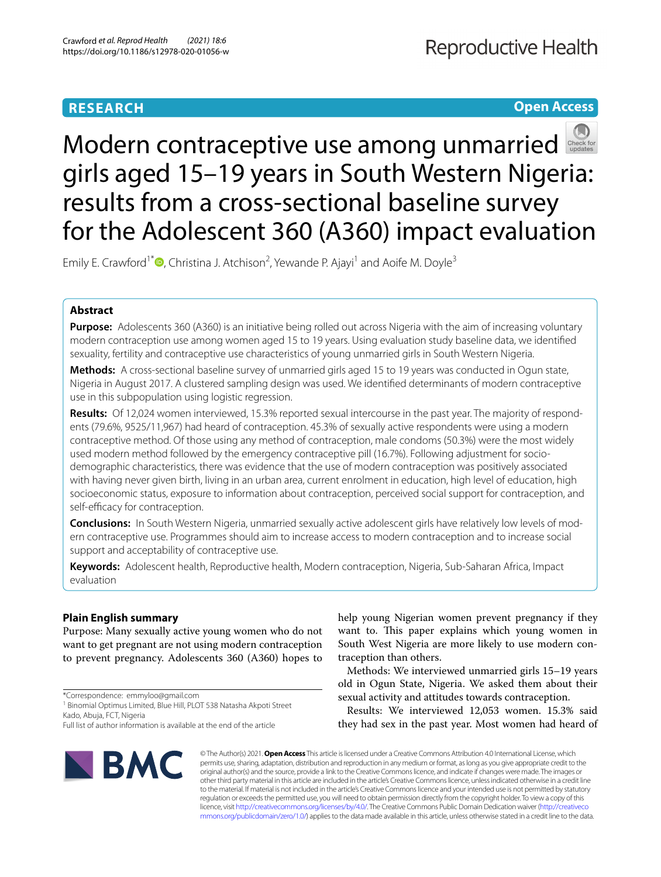# **RESEARCH**

# **Open Access**



# Moderncontraceptive use among unmarried girls aged 15–19 years in South Western Nigeria: results from a cross-sectional baseline survey for the Adolescent 360 (A360) impact evaluation

Emily E. Crawford<sup>1\*</sup><sup>®</sup>[,](http://orcid.org/0000-0003-4645-5724) Christina J. Atchison<sup>2</sup>, Yewande P. Ajayi<sup>1</sup> and Aoife M. Doyle<sup>3</sup>

# **Abstract**

**Purpose:** Adolescents 360 (A360) is an initiative being rolled out across Nigeria with the aim of increasing voluntary modern contraception use among women aged 15 to 19 years. Using evaluation study baseline data, we identifed sexuality, fertility and contraceptive use characteristics of young unmarried girls in South Western Nigeria.

**Methods:** A cross-sectional baseline survey of unmarried girls aged 15 to 19 years was conducted in Ogun state, Nigeria in August 2017. A clustered sampling design was used. We identifed determinants of modern contraceptive use in this subpopulation using logistic regression.

**Results:** Of 12,024 women interviewed, 15.3% reported sexual intercourse in the past year. The majority of respondents (79.6%, 9525/11,967) had heard of contraception. 45.3% of sexually active respondents were using a modern contraceptive method. Of those using any method of contraception, male condoms (50.3%) were the most widely used modern method followed by the emergency contraceptive pill (16.7%). Following adjustment for sociodemographic characteristics, there was evidence that the use of modern contraception was positively associated with having never given birth, living in an urban area, current enrolment in education, high level of education, high socioeconomic status, exposure to information about contraception, perceived social support for contraception, and self-efficacy for contraception.

**Conclusions:** In South Western Nigeria, unmarried sexually active adolescent girls have relatively low levels of modern contraceptive use. Programmes should aim to increase access to modern contraception and to increase social support and acceptability of contraceptive use.

**Keywords:** Adolescent health, Reproductive health, Modern contraception, Nigeria, Sub-Saharan Africa, Impact evaluation

# **Plain English summary**

Purpose: Many sexually active young women who do not want to get pregnant are not using modern contraception to prevent pregnancy. Adolescents 360 (A360) hopes to

\*Correspondence: emmyloo@gmail.com

<sup>1</sup> Binomial Optimus Limited, Blue Hill, PLOT 538 Natasha Akpoti Street Kado, Abuja, FCT, Nigeria

Full list of author information is available at the end of the article

**BMC** 

help young Nigerian women prevent pregnancy if they want to. This paper explains which young women in South West Nigeria are more likely to use modern contraception than others.

Methods: We interviewed unmarried girls 15–19 years old in Ogun State, Nigeria. We asked them about their sexual activity and attitudes towards contraception.

Results: We interviewed 12,053 women. 15.3% said they had sex in the past year. Most women had heard of

© The Author(s) 2021. **Open Access** This article is licensed under a Creative Commons Attribution 4.0 International License, which permits use, sharing, adaptation, distribution and reproduction in any medium or format, as long as you give appropriate credit to the original author(s) and the source, provide a link to the Creative Commons licence, and indicate if changes were made. The images or other third party material in this article are included in the article's Creative Commons licence, unless indicated otherwise in a credit line to the material. If material is not included in the article's Creative Commons licence and your intended use is not permitted by statutory regulation or exceeds the permitted use, you will need to obtain permission directly from the copyright holder. To view a copy of this licence, visit [http://creativecommons.org/licenses/by/4.0/.](http://creativecommons.org/licenses/by/4.0/) The Creative Commons Public Domain Dedication waiver ([http://creativeco](http://creativecommons.org/publicdomain/zero/1.0/) [mmons.org/publicdomain/zero/1.0/](http://creativecommons.org/publicdomain/zero/1.0/)) applies to the data made available in this article, unless otherwise stated in a credit line to the data.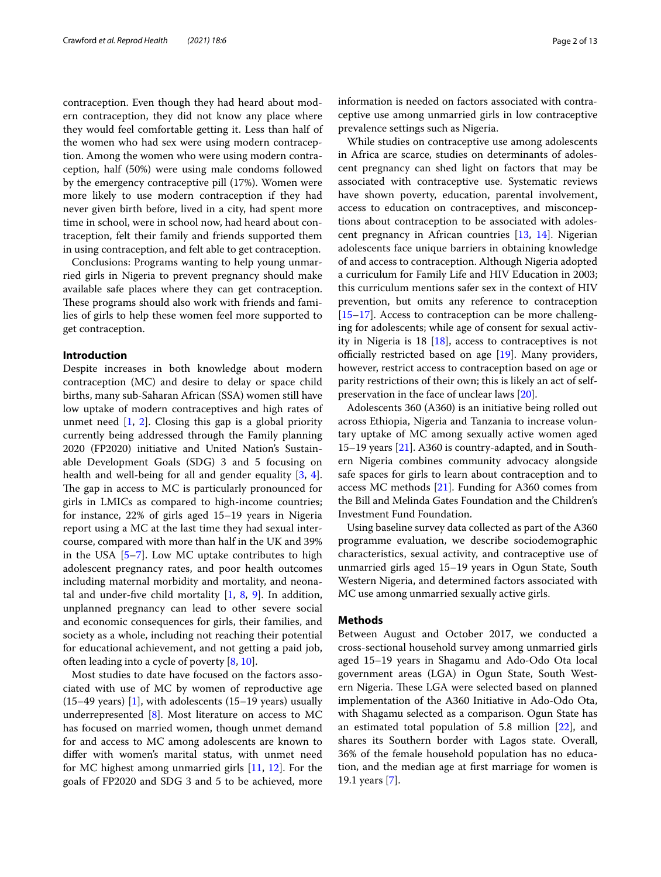contraception. Even though they had heard about modern contraception, they did not know any place where they would feel comfortable getting it. Less than half of the women who had sex were using modern contraception. Among the women who were using modern contraception, half (50%) were using male condoms followed by the emergency contraceptive pill (17%). Women were more likely to use modern contraception if they had never given birth before, lived in a city, had spent more time in school, were in school now, had heard about contraception, felt their family and friends supported them in using contraception, and felt able to get contraception.

Conclusions: Programs wanting to help young unmarried girls in Nigeria to prevent pregnancy should make available safe places where they can get contraception. These programs should also work with friends and families of girls to help these women feel more supported to get contraception.

#### **Introduction**

Despite increases in both knowledge about modern contraception (MC) and desire to delay or space child births, many sub-Saharan African (SSA) women still have low uptake of modern contraceptives and high rates of unmet need [\[1](#page-11-0), [2](#page-11-1)]. Closing this gap is a global priority currently being addressed through the Family planning 2020 (FP2020) initiative and United Nation's Sustainable Development Goals (SDG) 3 and 5 focusing on health and well-being for all and gender equality [\[3](#page-11-2), [4](#page-11-3)]. The gap in access to MC is particularly pronounced for girls in LMICs as compared to high-income countries; for instance, 22% of girls aged 15–19 years in Nigeria report using a MC at the last time they had sexual intercourse, compared with more than half in the UK and 39% in the USA [[5–](#page-11-4)[7\]](#page-11-5). Low MC uptake contributes to high adolescent pregnancy rates, and poor health outcomes including maternal morbidity and mortality, and neonatal and under-fve child mortality [\[1](#page-11-0), [8](#page-11-6), [9](#page-11-7)]. In addition, unplanned pregnancy can lead to other severe social and economic consequences for girls, their families, and society as a whole, including not reaching their potential for educational achievement, and not getting a paid job, often leading into a cycle of poverty [[8](#page-11-6), [10\]](#page-11-8).

Most studies to date have focused on the factors associated with use of MC by women of reproductive age  $(15-49 \text{ years})$  [[1\]](#page-11-0), with adolescents  $(15-19 \text{ years})$  usually underrepresented [[8\]](#page-11-6). Most literature on access to MC has focused on married women, though unmet demand for and access to MC among adolescents are known to difer with women's marital status, with unmet need for MC highest among unmarried girls [\[11](#page-11-9), [12\]](#page-11-10). For the goals of FP2020 and SDG 3 and 5 to be achieved, more information is needed on factors associated with contraceptive use among unmarried girls in low contraceptive prevalence settings such as Nigeria.

While studies on contraceptive use among adolescents in Africa are scarce, studies on determinants of adolescent pregnancy can shed light on factors that may be associated with contraceptive use. Systematic reviews have shown poverty, education, parental involvement, access to education on contraceptives, and misconceptions about contraception to be associated with adolescent pregnancy in African countries [[13,](#page-11-11) [14](#page-11-12)]. Nigerian adolescents face unique barriers in obtaining knowledge of and access to contraception. Although Nigeria adopted a curriculum for Family Life and HIV Education in 2003; this curriculum mentions safer sex in the context of HIV prevention, but omits any reference to contraception [[15–](#page-11-13)[17\]](#page-11-14). Access to contraception can be more challenging for adolescents; while age of consent for sexual activity in Nigeria is 18 [[18](#page-11-15)], access to contraceptives is not officially restricted based on age  $[19]$  $[19]$ . Many providers, however, restrict access to contraception based on age or parity restrictions of their own; this is likely an act of selfpreservation in the face of unclear laws [\[20\]](#page-11-17).

Adolescents 360 (A360) is an initiative being rolled out across Ethiopia, Nigeria and Tanzania to increase voluntary uptake of MC among sexually active women aged 15–19 years [\[21](#page-11-18)]. A360 is country-adapted, and in Southern Nigeria combines community advocacy alongside safe spaces for girls to learn about contraception and to access MC methods [\[21](#page-11-18)]. Funding for A360 comes from the Bill and Melinda Gates Foundation and the Children's Investment Fund Foundation.

Using baseline survey data collected as part of the A360 programme evaluation, we describe sociodemographic characteristics, sexual activity, and contraceptive use of unmarried girls aged 15–19 years in Ogun State, South Western Nigeria, and determined factors associated with MC use among unmarried sexually active girls.

#### **Methods**

Between August and October 2017, we conducted a cross-sectional household survey among unmarried girls aged 15–19 years in Shagamu and Ado-Odo Ota local government areas (LGA) in Ogun State, South Western Nigeria. These LGA were selected based on planned implementation of the A360 Initiative in Ado-Odo Ota, with Shagamu selected as a comparison. Ogun State has an estimated total population of 5.8 million [\[22](#page-11-19)], and shares its Southern border with Lagos state. Overall, 36% of the female household population has no education, and the median age at frst marriage for women is 19.1 years [[7](#page-11-5)].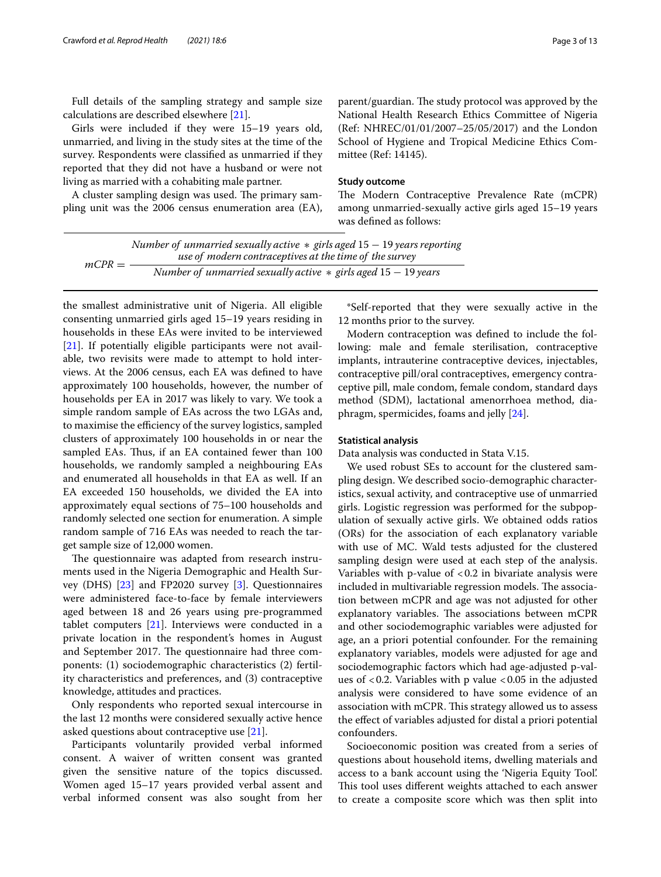Full details of the sampling strategy and sample size calculations are described elsewhere [\[21](#page-11-18)].

Girls were included if they were 15–19 years old, unmarried, and living in the study sites at the time of the survey. Respondents were classifed as unmarried if they reported that they did not have a husband or were not living as married with a cohabiting male partner.

A cluster sampling design was used. The primary sampling unit was the 2006 census enumeration area (EA), parent/guardian. The study protocol was approved by the National Health Research Ethics Committee of Nigeria (Ref: NHREC/01/01/2007–25/05/2017) and the London School of Hygiene and Tropical Medicine Ethics Committee (Ref: 14145).

#### **Study outcome**

The Modern Contraceptive Prevalence Rate (mCPR) among unmarried-sexually active girls aged 15–19 years was defned as follows:

|          | Number of unmarried sexually active $*$ girls aged 15 – 19 years reporting |
|----------|----------------------------------------------------------------------------|
|          | use of modern contraceptives at the time of the survey                     |
| $mCPR =$ | Number of unmarried sexually active $*$ girls aged $15 - 19$ years         |

the smallest administrative unit of Nigeria. All eligible consenting unmarried girls aged 15–19 years residing in households in these EAs were invited to be interviewed [[21\]](#page-11-18). If potentially eligible participants were not available, two revisits were made to attempt to hold interviews. At the 2006 census, each EA was defned to have approximately 100 households, however, the number of households per EA in 2017 was likely to vary. We took a simple random sample of EAs across the two LGAs and, to maximise the efficiency of the survey logistics, sampled clusters of approximately 100 households in or near the sampled EAs. Thus, if an EA contained fewer than 100 households, we randomly sampled a neighbouring EAs and enumerated all households in that EA as well. If an EA exceeded 150 households, we divided the EA into approximately equal sections of 75–100 households and randomly selected one section for enumeration. A simple random sample of 716 EAs was needed to reach the target sample size of 12,000 women.

The questionnaire was adapted from research instruments used in the Nigeria Demographic and Health Survey (DHS) [\[23\]](#page-11-21) and FP2020 survey [[3](#page-11-2)]. Questionnaires were administered face-to-face by female interviewers aged between 18 and 26 years using pre-programmed tablet computers [\[21](#page-11-18)]. Interviews were conducted in a private location in the respondent's homes in August and September 2017. The questionnaire had three components: (1) sociodemographic characteristics (2) fertility characteristics and preferences, and (3) contraceptive knowledge, attitudes and practices.

Only respondents who reported sexual intercourse in the last 12 months were considered sexually active hence asked questions about contraceptive use [\[21\]](#page-11-18).

Participants voluntarily provided verbal informed consent. A waiver of written consent was granted given the sensitive nature of the topics discussed. Women aged 15–17 years provided verbal assent and verbal informed consent was also sought from her

\*Self-reported that they were sexually active in the 12 months prior to the survey.

Modern contraception was defned to include the following: male and female sterilisation, contraceptive implants, intrauterine contraceptive devices, injectables, contraceptive pill/oral contraceptives, emergency contraceptive pill, male condom, female condom, standard days method (SDM), lactational amenorrhoea method, diaphragm, spermicides, foams and jelly [\[24](#page-11-20)].

#### **Statistical analysis**

Data analysis was conducted in Stata V.15.

We used robust SEs to account for the clustered sampling design. We described socio-demographic characteristics, sexual activity, and contraceptive use of unmarried girls. Logistic regression was performed for the subpopulation of sexually active girls. We obtained odds ratios (ORs) for the association of each explanatory variable with use of MC. Wald tests adjusted for the clustered sampling design were used at each step of the analysis. Variables with p-value of  $< 0.2$  in bivariate analysis were included in multivariable regression models. The association between mCPR and age was not adjusted for other explanatory variables. The associations between mCPR and other sociodemographic variables were adjusted for age, an a priori potential confounder. For the remaining explanatory variables, models were adjusted for age and sociodemographic factors which had age-adjusted p-values of  $< 0.2$ . Variables with p value  $< 0.05$  in the adjusted analysis were considered to have some evidence of an association with mCPR. This strategy allowed us to assess the efect of variables adjusted for distal a priori potential confounders.

Socioeconomic position was created from a series of questions about household items, dwelling materials and access to a bank account using the 'Nigeria Equity Tool'. This tool uses different weights attached to each answer to create a composite score which was then split into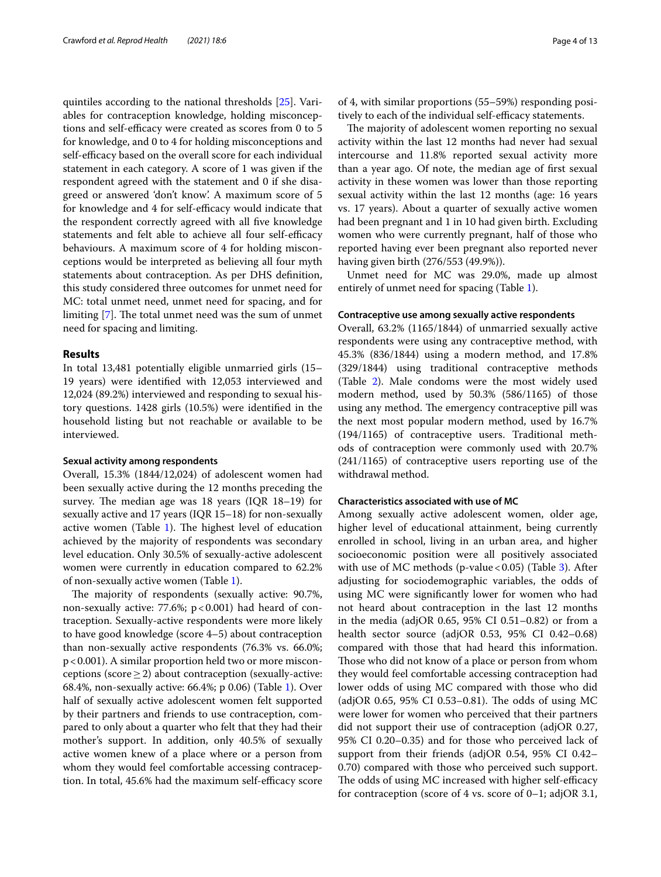quintiles according to the national thresholds [[25](#page-11-22)]. Variables for contraception knowledge, holding misconceptions and self-efficacy were created as scores from 0 to 5 for knowledge, and 0 to 4 for holding misconceptions and self-efficacy based on the overall score for each individual statement in each category. A score of 1 was given if the respondent agreed with the statement and 0 if she disagreed or answered 'don't know'. A maximum score of 5 for knowledge and 4 for self-efficacy would indicate that the respondent correctly agreed with all five knowledge statements and felt able to achieve all four self-efficacy behaviours. A maximum score of 4 for holding misconceptions would be interpreted as believing all four myth statements about contraception. As per DHS defnition, this study considered three outcomes for unmet need for MC: total unmet need, unmet need for spacing, and for limiting  $[7]$  $[7]$ . The total unmet need was the sum of unmet need for spacing and limiting.

#### **Results**

In total 13,481 potentially eligible unmarried girls (15– 19 years) were identifed with 12,053 interviewed and 12,024 (89.2%) interviewed and responding to sexual history questions. 1428 girls (10.5%) were identifed in the household listing but not reachable or available to be interviewed.

#### **Sexual activity among respondents**

Overall, 15.3% (1844/12,024) of adolescent women had been sexually active during the 12 months preceding the survey. The median age was  $18$  years (IQR  $18-19$ ) for sexually active and 17 years (IQR 15–18) for non-sexually active women (Table  $1$ ). The highest level of education achieved by the majority of respondents was secondary level education. Only 30.5% of sexually-active adolescent women were currently in education compared to 62.2% of non-sexually active women (Table [1](#page-4-0)).

The majority of respondents (sexually active: 90.7%, non-sexually active: 77.6%;  $p < 0.001$ ) had heard of contraception. Sexually-active respondents were more likely to have good knowledge (score 4–5) about contraception than non-sexually active respondents (76.3% vs. 66.0%; p<0.001). A similar proportion held two or more misconceptions (score  $\geq$  2) about contraception (sexually-active: 68.4%, non-sexually active: 66.4%; p 0.06) (Table [1\)](#page-4-0). Over half of sexually active adolescent women felt supported by their partners and friends to use contraception, compared to only about a quarter who felt that they had their mother's support. In addition, only 40.5% of sexually active women knew of a place where or a person from whom they would feel comfortable accessing contraception. In total, 45.6% had the maximum self-efficacy score

of 4, with similar proportions (55–59%) responding positively to each of the individual self-efficacy statements.

The majority of adolescent women reporting no sexual activity within the last 12 months had never had sexual intercourse and 11.8% reported sexual activity more than a year ago. Of note, the median age of frst sexual activity in these women was lower than those reporting sexual activity within the last 12 months (age: 16 years vs. 17 years). About a quarter of sexually active women had been pregnant and 1 in 10 had given birth. Excluding women who were currently pregnant, half of those who reported having ever been pregnant also reported never having given birth (276/553 (49.9%)).

Unmet need for MC was 29.0%, made up almost entirely of unmet need for spacing (Table [1\)](#page-4-0).

#### **Contraceptive use among sexually active respondents**

Overall, 63.2% (1165/1844) of unmarried sexually active respondents were using any contraceptive method, with 45.3% (836/1844) using a modern method, and 17.8% (329/1844) using traditional contraceptive methods (Table [2](#page-7-0)). Male condoms were the most widely used modern method, used by 50.3% (586/1165) of those using any method. The emergency contraceptive pill was the next most popular modern method, used by 16.7% (194/1165) of contraceptive users. Traditional methods of contraception were commonly used with 20.7% (241/1165) of contraceptive users reporting use of the withdrawal method.

#### **Characteristics associated with use of MC**

Among sexually active adolescent women, older age, higher level of educational attainment, being currently enrolled in school, living in an urban area, and higher socioeconomic position were all positively associated with use of MC methods (p-value <  $0.05$ ) (Table [3\)](#page-8-0). After adjusting for sociodemographic variables, the odds of using MC were signifcantly lower for women who had not heard about contraception in the last 12 months in the media (adjOR 0.65, 95% CI 0.51–0.82) or from a health sector source (adjOR 0.53, 95% CI 0.42–0.68) compared with those that had heard this information. Those who did not know of a place or person from whom they would feel comfortable accessing contraception had lower odds of using MC compared with those who did  $\alpha$ (adjOR 0.65, 95% CI 0.53–0.81). The odds of using MC were lower for women who perceived that their partners did not support their use of contraception (adjOR 0.27, 95% CI 0.20–0.35) and for those who perceived lack of support from their friends (adjOR 0.54, 95% CI 0.42– 0.70) compared with those who perceived such support. The odds of using MC increased with higher self-efficacy for contraception (score of 4 vs. score of 0–1; adjOR 3.1,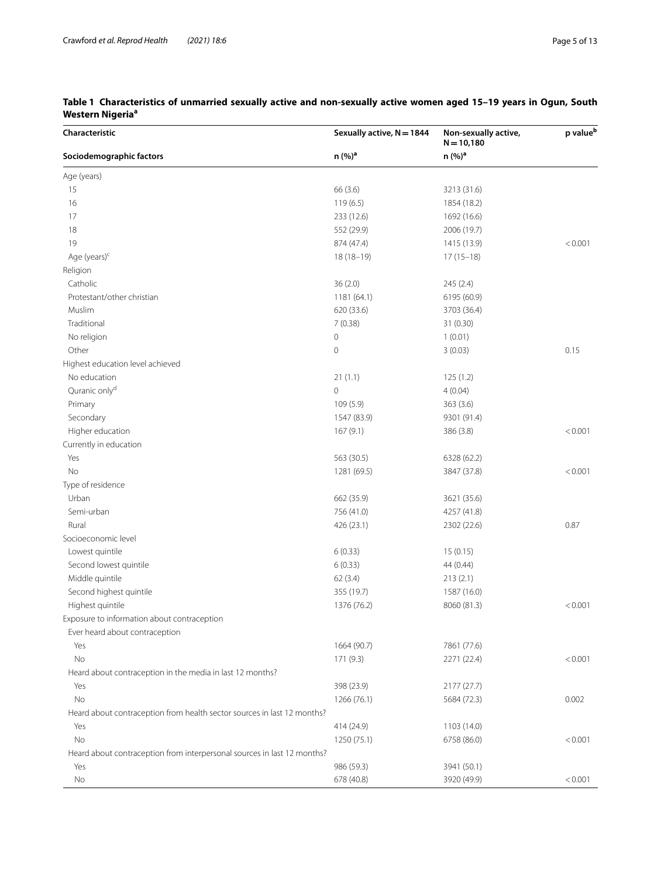| Characteristic                                                          | Sexually active, N = 1844 | Non-sexually active,<br>$N = 10,180$ | p value <sup>b</sup> |
|-------------------------------------------------------------------------|---------------------------|--------------------------------------|----------------------|
| Sociodemographic factors                                                | n (%) <sup>a</sup>        | n (%) <sup>a</sup>                   |                      |
| Age (years)                                                             |                           |                                      |                      |
| 15                                                                      | 66 (3.6)                  | 3213 (31.6)                          |                      |
| 16                                                                      | 119(6.5)                  | 1854 (18.2)                          |                      |
| 17                                                                      | 233 (12.6)                | 1692 (16.6)                          |                      |
| 18                                                                      | 552 (29.9)                | 2006 (19.7)                          |                      |
| 19                                                                      | 874 (47.4)                | 1415 (13.9)                          | < 0.001              |
| Age (years) <sup>c</sup>                                                | $18(18-19)$               | $17(15-18)$                          |                      |
| Religion                                                                |                           |                                      |                      |
| Catholic                                                                | 36(2.0)                   | 245 (2.4)                            |                      |
| Protestant/other christian                                              | 1181 (64.1)               | 6195 (60.9)                          |                      |
| Muslim                                                                  | 620 (33.6)                | 3703 (36.4)                          |                      |
| Traditional                                                             | 7(0.38)                   | 31 (0.30)                            |                      |
| No religion                                                             | $\mathsf{O}\xspace$       | 1(0.01)                              |                      |
| Other                                                                   | $\mathsf{O}\xspace$       | 3(0.03)                              | 0.15                 |
| Highest education level achieved                                        |                           |                                      |                      |
| No education                                                            | 21(1.1)                   | 125(1.2)                             |                      |
| Quranic only <sup>d</sup>                                               | $\circ$                   | 4(0.04)                              |                      |
| Primary                                                                 | 109 (5.9)                 | 363 (3.6)                            |                      |
| Secondary                                                               | 1547 (83.9)               | 9301 (91.4)                          |                      |
| Higher education                                                        | 167(9.1)                  | 386 (3.8)                            | < 0.001              |
| Currently in education                                                  |                           |                                      |                      |
| Yes                                                                     | 563 (30.5)                | 6328 (62.2)                          |                      |
| No                                                                      | 1281 (69.5)               | 3847 (37.8)                          | < 0.001              |
| Type of residence                                                       |                           |                                      |                      |
| Urban                                                                   | 662 (35.9)                | 3621 (35.6)                          |                      |
| Semi-urban                                                              | 756 (41.0)                | 4257 (41.8)                          |                      |
| Rural                                                                   | 426 (23.1)                | 2302 (22.6)                          | 0.87                 |
| Socioeconomic level                                                     |                           |                                      |                      |
| Lowest quintile                                                         | 6(0.33)                   | 15(0.15)                             |                      |
| Second lowest quintile                                                  | 6(0.33)                   | 44 (0.44)                            |                      |
| Middle quintile                                                         | 62(3.4)                   | 213(2.1)                             |                      |
| Second highest quintile                                                 | 355 (19.7)                | 1587 (16.0)                          |                      |
| Highest quintile                                                        | 1376 (76.2)               | 8060 (81.3)                          | < 0.001              |
| Exposure to information about contraception                             |                           |                                      |                      |
| Ever heard about contraception                                          |                           |                                      |                      |
| Yes                                                                     | 1664 (90.7)               | 7861 (77.6)                          |                      |
| No                                                                      | 171 (9.3)                 | 2271 (22.4)                          | < 0.001              |
| Heard about contraception in the media in last 12 months?               |                           |                                      |                      |
| Yes                                                                     | 398 (23.9)                | 2177 (27.7)                          |                      |
| No                                                                      | 1266 (76.1)               | 5684 (72.3)                          | 0.002                |
| Heard about contraception from health sector sources in last 12 months? |                           |                                      |                      |
| Yes                                                                     | 414 (24.9)                | 1103 (14.0)                          |                      |
| No                                                                      | 1250 (75.1)               | 6758 (86.0)                          | < 0.001              |
| Heard about contraception from interpersonal sources in last 12 months? |                           |                                      |                      |
| Yes                                                                     | 986 (59.3)                | 3941 (50.1)                          |                      |
| No                                                                      | 678 (40.8)                | 3920 (49.9)                          | < 0.001              |

# <span id="page-4-0"></span>**Table 1 Characteristics of unmarried sexually active and non-sexually active women aged 15–19 years in Ogun, South Western Nigeriaa**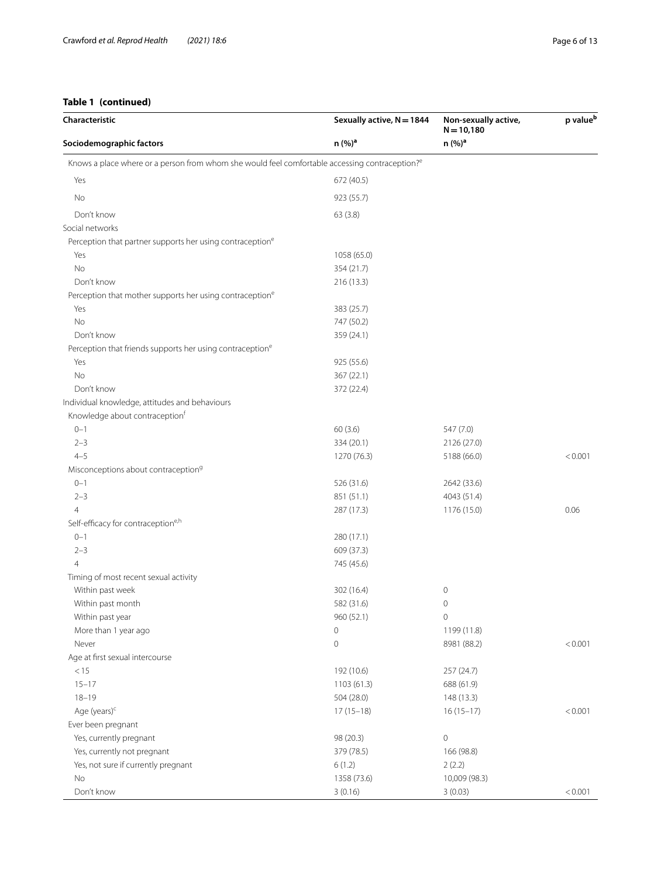# **Table 1 (continued)**

| Characteristic                                                                                             | Sexually active, N = 1844 | Non-sexually active,<br>$N = 10,180$ | p value <sup>b</sup> |
|------------------------------------------------------------------------------------------------------------|---------------------------|--------------------------------------|----------------------|
| Sociodemographic factors                                                                                   | n (%) <sup>a</sup>        | n (%) <sup>a</sup>                   |                      |
| Knows a place where or a person from whom she would feel comfortable accessing contraception? <sup>e</sup> |                           |                                      |                      |
| Yes                                                                                                        | 672 (40.5)                |                                      |                      |
| No                                                                                                         | 923 (55.7)                |                                      |                      |
| Don't know                                                                                                 | 63(3.8)                   |                                      |                      |
| Social networks                                                                                            |                           |                                      |                      |
| Perception that partner supports her using contraception <sup>e</sup>                                      |                           |                                      |                      |
| Yes                                                                                                        | 1058 (65.0)               |                                      |                      |
| No                                                                                                         | 354 (21.7)                |                                      |                      |
| Don't know                                                                                                 | 216 (13.3)                |                                      |                      |
| Perception that mother supports her using contraception <sup>e</sup>                                       |                           |                                      |                      |
| Yes                                                                                                        | 383 (25.7)                |                                      |                      |
| <b>No</b>                                                                                                  | 747 (50.2)                |                                      |                      |
| Don't know                                                                                                 | 359 (24.1)                |                                      |                      |
| Perception that friends supports her using contraception <sup>e</sup>                                      |                           |                                      |                      |
| Yes                                                                                                        | 925 (55.6)                |                                      |                      |
| <b>No</b>                                                                                                  | 367 (22.1)                |                                      |                      |
| Don't know                                                                                                 | 372 (22.4)                |                                      |                      |
| Individual knowledge, attitudes and behaviours                                                             |                           |                                      |                      |
| Knowledge about contraception <sup>t</sup>                                                                 |                           |                                      |                      |
| $0 - 1$                                                                                                    | 60(3.6)                   | 547 (7.0)                            |                      |
| $2 - 3$                                                                                                    | 334 (20.1)                | 2126 (27.0)                          |                      |
| $4 - 5$                                                                                                    | 1270 (76.3)               | 5188 (66.0)                          | < 0.001              |
| Misconceptions about contraception <sup>9</sup>                                                            |                           |                                      |                      |
| $0 - 1$                                                                                                    | 526 (31.6)                | 2642 (33.6)                          |                      |
| $2 - 3$                                                                                                    | 851 (51.1)                | 4043 (51.4)                          |                      |
| 4                                                                                                          | 287 (17.3)                | 1176 (15.0)                          | 0.06                 |
| Self-efficacy for contraceptione,h                                                                         |                           |                                      |                      |
| $0 - 1$                                                                                                    | 280 (17.1)                |                                      |                      |
| $2 - 3$                                                                                                    | 609 (37.3)                |                                      |                      |
| 4                                                                                                          | 745 (45.6)                |                                      |                      |
| Timing of most recent sexual activity                                                                      |                           |                                      |                      |
| Within past week                                                                                           | 302 (16.4)                | 0                                    |                      |
| Within past month                                                                                          | 582 (31.6)                | $\mathbf 0$                          |                      |
| Within past year                                                                                           | 960 (52.1)                | $\mathsf{O}\xspace$                  |                      |
| More than 1 year ago                                                                                       | $\circ$                   | 1199 (11.8)                          |                      |
| Never                                                                                                      | $\mathsf{O}\xspace$       | 8981 (88.2)                          | < 0.001              |
| Age at first sexual intercourse                                                                            |                           |                                      |                      |
| < 15                                                                                                       | 192 (10.6)                | 257 (24.7)                           |                      |
| $15 - 17$                                                                                                  | 1103(61.3)                | 688 (61.9)                           |                      |
| $18 - 19$                                                                                                  | 504 (28.0)                | 148 (13.3)                           |                      |
| Age (years) <sup>c</sup>                                                                                   | $17(15-18)$               | $16(15-17)$                          | < 0.001              |
| Ever been pregnant                                                                                         |                           |                                      |                      |
| Yes, currently pregnant                                                                                    | 98 (20.3)                 | $\mathsf{O}\xspace$                  |                      |
| Yes, currently not pregnant                                                                                | 379 (78.5)                | 166 (98.8)                           |                      |
| Yes, not sure if currently pregnant                                                                        | 6(1.2)                    | 2(2.2)                               |                      |
| No                                                                                                         | 1358 (73.6)               | 10,009 (98.3)                        |                      |
| Don't know                                                                                                 | 3(0.16)                   | 3(0.03)                              | < 0.001              |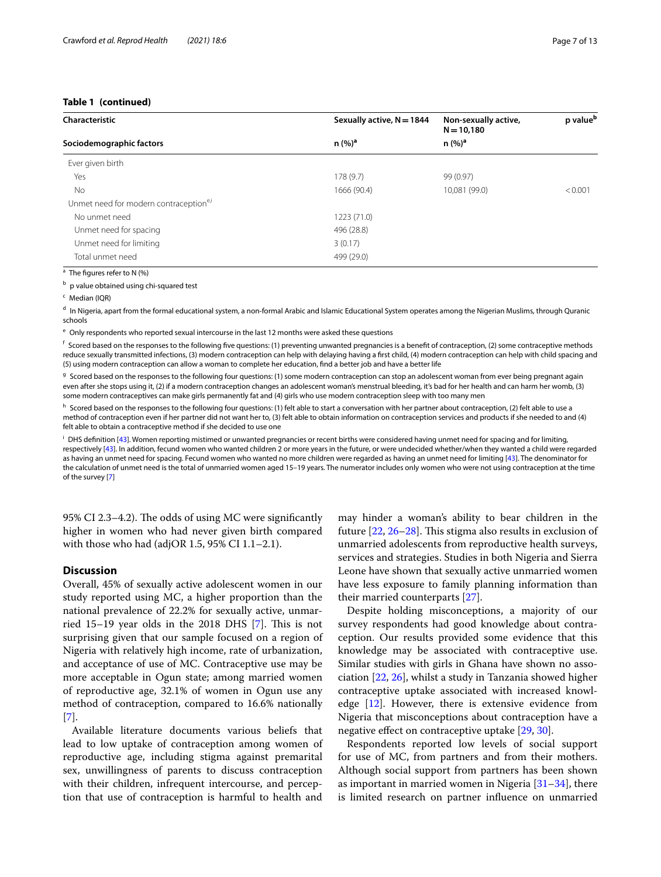#### **Table 1 (continued)**

| Characteristic                                     | Sexually active, N = 1844 | Non-sexually active,<br>$N = 10,180$ | p value <sup>b</sup> |  |
|----------------------------------------------------|---------------------------|--------------------------------------|----------------------|--|
| Sociodemographic factors                           | n (%) <sup>a</sup>        | n (%) <sup>a</sup>                   |                      |  |
| Ever given birth                                   |                           |                                      |                      |  |
| Yes                                                | 178 (9.7)                 | 99 (0.97)                            |                      |  |
| No                                                 | 1666 (90.4)               | 10,081 (99.0)                        | < 0.001              |  |
| Unmet need for modern contraception <sup>e,i</sup> |                           |                                      |                      |  |
| No unmet need                                      | 1223 (71.0)               |                                      |                      |  |
| Unmet need for spacing                             | 496 (28.8)                |                                      |                      |  |
| Unmet need for limiting                            | 3(0.17)                   |                                      |                      |  |
| Total unmet need                                   | 499 (29.0)                |                                      |                      |  |

<sup>a</sup> The fgures refer to N (%)

 $<sup>b</sup>$  p value obtained using chi-squared test</sup>

<sup>c</sup> Median (IQR)

 $<sup>d</sup>$  In Nigeria, apart from the formal educational system, a non-formal Arabic and Islamic Educational System operates among the Nigerian Muslims, through Quranic</sup> schools

<sup>e</sup> Only respondents who reported sexual intercourse in the last 12 months were asked these questions

 $f$  Scored based on the responses to the following five questions: (1) preventing unwanted pregnancies is a benefit of contraception, (2) some contraceptive methods reduce sexually transmitted infections, (3) modern contraception can help with delaying having a frst child, (4) modern contraception can help with child spacing and (5) using modern contraception can allow a woman to complete her education, fnd a better job and have a better life

<sup>g</sup> Scored based on the responses to the following four questions: (1) some modern contraception can stop an adolescent woman from ever being pregnant again even after she stops using it, (2) if a modern contraception changes an adolescent woman's menstrual bleeding, it's bad for her health and can harm her womb, (3) some modern contraceptives can make girls permanently fat and (4) girls who use modern contraception sleep with too many men

h Scored based on the responses to the following four questions: (1) felt able to start a conversation with her partner about contraception, (2) felt able to use a method of contraception even if her partner did not want her to, (3) felt able to obtain information on contraception services and products if she needed to and (4) felt able to obtain a contraceptive method if she decided to use one

<sup>i</sup> DHS definition [\[43](#page-12-0)]. Women reporting mistimed or unwanted pregnancies or recent births were considered having unmet need for spacing and for limiting, respectively [\[43](#page-12-0)]. In addition, fecund women who wanted children 2 or more years in the future, or were undecided whether/when they wanted a child were regarded as having an unmet need for spacing. Fecund women who wanted no more children were regarded as having an unmet need for limiting [\[43\]](#page-12-0). The denominator for the calculation of unmet need is the total of unmarried women aged 15–19 years. The numerator includes only women who were not using contraception at the time of the survey [[7\]](#page-11-5)

95% CI 2.3–4.2). The odds of using MC were significantly higher in women who had never given birth compared with those who had (adjOR 1.5, 95% CI 1.1–2.1).

#### **Discussion**

Overall, 45% of sexually active adolescent women in our study reported using MC, a higher proportion than the national prevalence of 22.2% for sexually active, unmarried 15–19 year olds in the 2018 DHS  $[7]$  $[7]$ . This is not surprising given that our sample focused on a region of Nigeria with relatively high income, rate of urbanization, and acceptance of use of MC. Contraceptive use may be more acceptable in Ogun state; among married women of reproductive age, 32.1% of women in Ogun use any method of contraception, compared to 16.6% nationally [[7\]](#page-11-5).

Available literature documents various beliefs that lead to low uptake of contraception among women of reproductive age, including stigma against premarital sex, unwillingness of parents to discuss contraception with their children, infrequent intercourse, and perception that use of contraception is harmful to health and may hinder a woman's ability to bear children in the future  $[22, 26-28]$  $[22, 26-28]$  $[22, 26-28]$  $[22, 26-28]$ . This stigma also results in exclusion of unmarried adolescents from reproductive health surveys, services and strategies. Studies in both Nigeria and Sierra Leone have shown that sexually active unmarried women have less exposure to family planning information than their married counterparts [[27](#page-11-25)].

Despite holding misconceptions, a majority of our survey respondents had good knowledge about contraception. Our results provided some evidence that this knowledge may be associated with contraceptive use. Similar studies with girls in Ghana have shown no association [\[22](#page-11-19), [26\]](#page-11-23), whilst a study in Tanzania showed higher contraceptive uptake associated with increased knowledge [\[12](#page-11-10)]. However, there is extensive evidence from Nigeria that misconceptions about contraception have a negative efect on contraceptive uptake [\[29](#page-11-26), [30\]](#page-11-27).

Respondents reported low levels of social support for use of MC, from partners and from their mothers. Although social support from partners has been shown as important in married women in Nigeria  $[31-34]$  $[31-34]$ , there is limited research on partner infuence on unmarried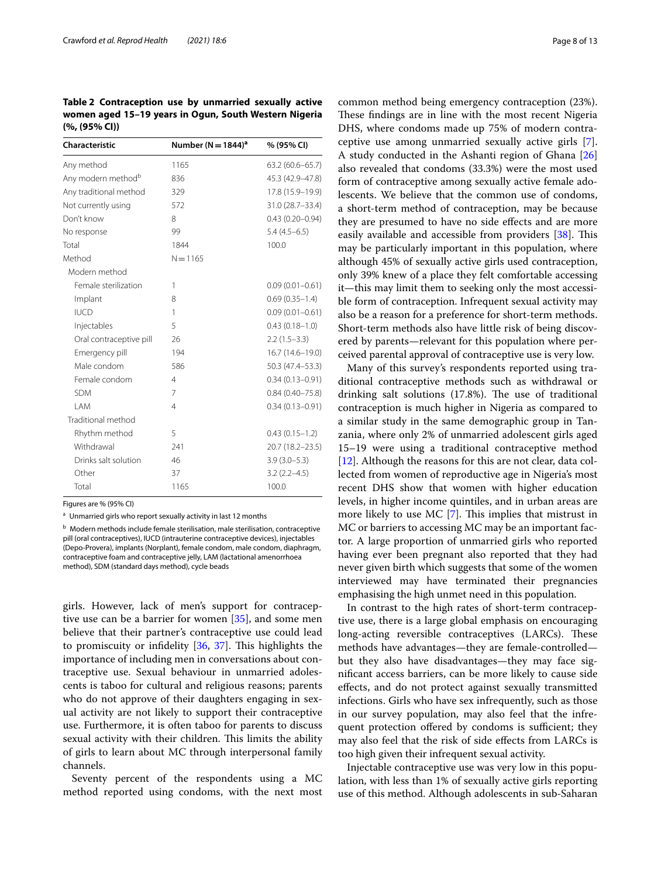<span id="page-7-0"></span>**Table 2 Contraception use by unmarried sexually active women aged 15–19 years in Ogun, South Western Nigeria (%, (95% CI))**

| <b>Characteristic</b>          | Number ( $N = 1844$ ) <sup>a</sup> | % (95% CI)          |
|--------------------------------|------------------------------------|---------------------|
| Any method                     | 1165                               | $63.2(60.6 - 65.7)$ |
| Any modern method <sup>b</sup> | 836                                | 45.3 (42.9-47.8)    |
| Any traditional method         | 329                                | 17.8 (15.9-19.9)    |
| Not currently using            | 572                                | 31.0 (28.7-33.4)    |
| Don't know                     | 8                                  | $0.43(0.20 - 0.94)$ |
| No response                    | 99                                 | $5.4(4.5-6.5)$      |
| Total                          | 1844                               | 100.0               |
| Method                         | $N = 1165$                         |                     |
| Modern method                  |                                    |                     |
| Female sterilization           | 1                                  | $0.09(0.01 - 0.61)$ |
| Implant                        | 8                                  | $0.69(0.35 - 1.4)$  |
| <b>IUCD</b>                    | 1                                  | $0.09(0.01 - 0.61)$ |
| Injectables                    | 5                                  | $0.43(0.18 - 1.0)$  |
| Oral contraceptive pill        | 26                                 | $2.2(1.5-3.3)$      |
| Emergency pill                 | 194                                | 16.7 (14.6-19.0)    |
| Male condom                    | 586                                | 50.3 (47.4 - 53.3)  |
| Female condom                  | $\overline{4}$                     | $0.34(0.13 - 0.91)$ |
| <b>SDM</b>                     | 7                                  | $0.84(0.40 - 75.8)$ |
| I AM                           | 4                                  | $0.34(0.13 - 0.91)$ |
| Traditional method             |                                    |                     |
| Rhythm method                  | 5                                  | $0.43(0.15 - 1.2)$  |
| Withdrawal                     | 241                                | 20.7 (18.2-23.5)    |
| Drinks salt solution           | 46                                 | $3.9(3.0 - 5.3)$    |
| Other                          | 37                                 | $3.2(2.2 - 4.5)$    |
| Total                          | 1165                               | 100.0               |

Figures are % (95% CI)

<sup>a</sup> Unmarried girls who report sexually activity in last 12 months

<sup>b</sup> Modern methods include female sterilisation, male sterilisation, contraceptive pill (oral contraceptives), IUCD (intrauterine contraceptive devices), injectables (Depo-Provera), implants (Norplant), female condom, male condom, diaphragm, contraceptive foam and contraceptive jelly, LAM (lactational amenorrhoea method), SDM (standard days method), cycle beads

girls. However, lack of men's support for contraceptive use can be a barrier for women [\[35](#page-11-30)], and some men believe that their partner's contraceptive use could lead to promiscuity or infidelity  $[36, 37]$  $[36, 37]$  $[36, 37]$ . This highlights the importance of including men in conversations about contraceptive use. Sexual behaviour in unmarried adolescents is taboo for cultural and religious reasons; parents who do not approve of their daughters engaging in sexual activity are not likely to support their contraceptive use. Furthermore, it is often taboo for parents to discuss sexual activity with their children. This limits the ability of girls to learn about MC through interpersonal family channels.

Seventy percent of the respondents using a MC method reported using condoms, with the next most common method being emergency contraception (23%). These findings are in line with the most recent Nigeria DHS, where condoms made up 75% of modern contraceptive use among unmarried sexually active girls [\[7](#page-11-5)]. A study conducted in the Ashanti region of Ghana [[26](#page-11-23)] also revealed that condoms (33.3%) were the most used form of contraceptive among sexually active female adolescents. We believe that the common use of condoms, a short-term method of contraception, may be because they are presumed to have no side efects and are more easily available and accessible from providers  $[38]$ . This may be particularly important in this population, where although 45% of sexually active girls used contraception, only 39% knew of a place they felt comfortable accessing it—this may limit them to seeking only the most accessible form of contraception. Infrequent sexual activity may also be a reason for a preference for short-term methods. Short-term methods also have little risk of being discovered by parents—relevant for this population where perceived parental approval of contraceptive use is very low.

Many of this survey's respondents reported using traditional contraceptive methods such as withdrawal or drinking salt solutions  $(17.8%)$ . The use of traditional contraception is much higher in Nigeria as compared to a similar study in the same demographic group in Tanzania, where only 2% of unmarried adolescent girls aged 15–19 were using a traditional contraceptive method [[12\]](#page-11-10). Although the reasons for this are not clear, data collected from women of reproductive age in Nigeria's most recent DHS show that women with higher education levels, in higher income quintiles, and in urban areas are more likely to use MC  $[7]$  $[7]$ . This implies that mistrust in MC or barriers to accessing MC may be an important factor. A large proportion of unmarried girls who reported having ever been pregnant also reported that they had never given birth which suggests that some of the women interviewed may have terminated their pregnancies emphasising the high unmet need in this population.

In contrast to the high rates of short-term contraceptive use, there is a large global emphasis on encouraging long-acting reversible contraceptives (LARCs). These methods have advantages—they are female-controlled but they also have disadvantages—they may face signifcant access barriers, can be more likely to cause side efects, and do not protect against sexually transmitted infections. Girls who have sex infrequently, such as those in our survey population, may also feel that the infrequent protection offered by condoms is sufficient; they may also feel that the risk of side efects from LARCs is too high given their infrequent sexual activity.

Injectable contraceptive use was very low in this population, with less than 1% of sexually active girls reporting use of this method. Although adolescents in sub-Saharan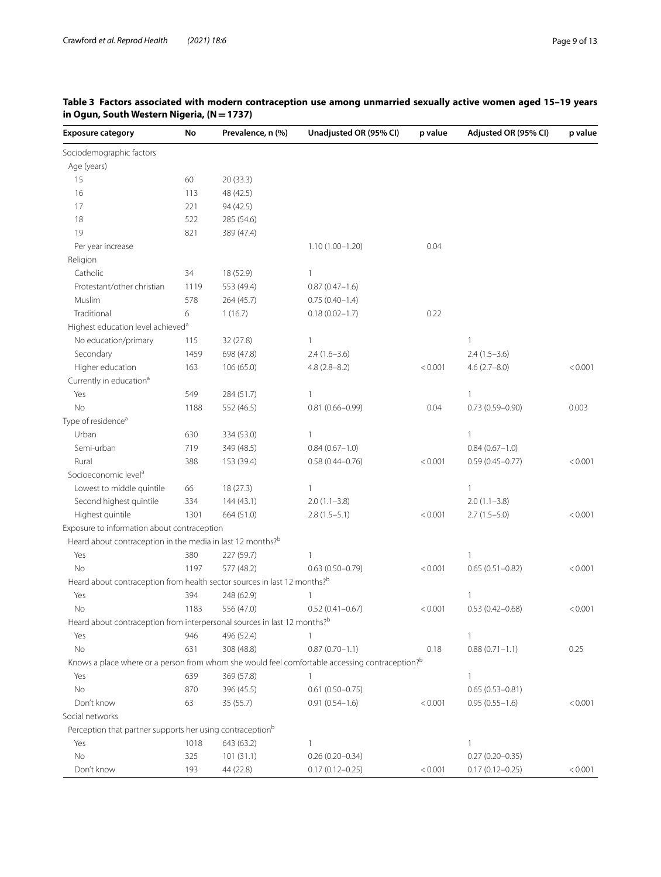| <b>Exposure category</b>                                                             | No   | Prevalence, n (%) | Unadjusted OR (95% CI)                                                                         | p value | Adjusted OR (95% CI) | p value |
|--------------------------------------------------------------------------------------|------|-------------------|------------------------------------------------------------------------------------------------|---------|----------------------|---------|
| Sociodemographic factors                                                             |      |                   |                                                                                                |         |                      |         |
| Age (years)                                                                          |      |                   |                                                                                                |         |                      |         |
| 15                                                                                   | 60   | 20 (33.3)         |                                                                                                |         |                      |         |
| 16                                                                                   | 113  | 48 (42.5)         |                                                                                                |         |                      |         |
| 17                                                                                   | 221  | 94 (42.5)         |                                                                                                |         |                      |         |
| 18                                                                                   | 522  | 285 (54.6)        |                                                                                                |         |                      |         |
| 19                                                                                   | 821  | 389 (47.4)        |                                                                                                |         |                      |         |
| Per year increase                                                                    |      |                   | $1.10(1.00 - 1.20)$                                                                            | 0.04    |                      |         |
| Religion                                                                             |      |                   |                                                                                                |         |                      |         |
| Catholic                                                                             | 34   | 18 (52.9)         | 1                                                                                              |         |                      |         |
| Protestant/other christian                                                           | 1119 | 553 (49.4)        | $0.87(0.47-1.6)$                                                                               |         |                      |         |
| Muslim                                                                               | 578  | 264 (45.7)        | $0.75(0.40-1.4)$                                                                               |         |                      |         |
| Traditional                                                                          | 6    | 1(16.7)           | $0.18(0.02 - 1.7)$                                                                             | 0.22    |                      |         |
| Highest education level achieved <sup>a</sup>                                        |      |                   |                                                                                                |         |                      |         |
| No education/primary                                                                 | 115  | 32 (27.8)         | $\mathbf{1}$                                                                                   |         | 1                    |         |
| Secondary                                                                            | 1459 | 698 (47.8)        | $2.4(1.6-3.6)$                                                                                 |         | $2.4(1.5-3.6)$       |         |
| Higher education                                                                     | 163  | 106 (65.0)        | $4.8(2.8-8.2)$                                                                                 | < 0.001 | $4.6(2.7 - 8.0)$     | < 0.001 |
| Currently in education <sup>a</sup>                                                  |      |                   |                                                                                                |         |                      |         |
| Yes                                                                                  | 549  | 284 (51.7)        | 1                                                                                              |         | 1                    |         |
| No                                                                                   | 1188 | 552 (46.5)        | $0.81(0.66 - 0.99)$                                                                            | 0.04    | $0.73(0.59 - 0.90)$  | 0.003   |
| Type of residence <sup>a</sup>                                                       |      |                   |                                                                                                |         |                      |         |
| Urban                                                                                | 630  | 334 (53.0)        | 1                                                                                              |         | 1                    |         |
| Semi-urban                                                                           | 719  | 349 (48.5)        | $0.84(0.67-1.0)$                                                                               |         | $0.84(0.67-1.0)$     |         |
| Rural                                                                                | 388  | 153 (39.4)        | $0.58(0.44 - 0.76)$                                                                            | < 0.001 | $0.59(0.45 - 0.77)$  | < 0.001 |
| Socioeconomic level <sup>a</sup>                                                     |      |                   |                                                                                                |         |                      |         |
| Lowest to middle quintile                                                            | 66   | 18(27.3)          | $\mathbf{1}$                                                                                   |         | $\mathbf{1}$         |         |
| Second highest quintile                                                              | 334  | 144(43.1)         | $2.0(1.1-3.8)$                                                                                 |         | $2.0(1.1 - 3.8)$     |         |
| Highest quintile                                                                     | 1301 | 664 (51.0)        | $2.8(1.5-5.1)$                                                                                 | < 0.001 | $2.7(1.5-5.0)$       | < 0.001 |
| Exposure to information about contraception                                          |      |                   |                                                                                                |         |                      |         |
| Heard about contraception in the media in last 12 months? <sup>b</sup>               |      |                   |                                                                                                |         |                      |         |
| Yes                                                                                  | 380  | 227 (59.7)        | 1                                                                                              |         | 1                    |         |
| No                                                                                   | 1197 | 577 (48.2)        | $0.63(0.50 - 0.79)$                                                                            | < 0.001 | $0.65(0.51 - 0.82)$  | < 0.001 |
| Heard about contraception from health sector sources in last 12 months? <sup>b</sup> |      |                   |                                                                                                |         |                      |         |
| Yes                                                                                  | 394  | 248 (62.9)        | $\mathbf{1}$                                                                                   |         | $\mathbf{1}$         |         |
| No                                                                                   | 1183 | 556 (47.0)        | $0.52(0.41 - 0.67)$                                                                            | < 0.001 | $0.53(0.42 - 0.68)$  | < 0.001 |
| Heard about contraception from interpersonal sources in last 12 months? <sup>b</sup> |      |                   |                                                                                                |         |                      |         |
| Yes                                                                                  | 946  | 496 (52.4)        | 1                                                                                              |         |                      |         |
| No                                                                                   | 631  | 308 (48.8)        | $0.87(0.70 - 1.1)$                                                                             | 0.18    | $0.88(0.71 - 1.1)$   | 0.25    |
|                                                                                      |      |                   | Knows a place where or a person from whom she would feel comfortable accessing contraception?b |         |                      |         |
| Yes                                                                                  | 639  | 369 (57.8)        | $\mathbf{1}$                                                                                   |         | 1                    |         |
| No                                                                                   | 870  | 396 (45.5)        | $0.61(0.50 - 0.75)$                                                                            |         | $0.65(0.53 - 0.81)$  |         |
| Don't know                                                                           | 63   | 35(55.7)          | $0.91(0.54 - 1.6)$                                                                             | < 0.001 | $0.95(0.55 - 1.6)$   | < 0.001 |
| Social networks                                                                      |      |                   |                                                                                                |         |                      |         |
| Perception that partner supports her using contraception <sup>b</sup>                |      |                   |                                                                                                |         |                      |         |
| Yes                                                                                  | 1018 | 643 (63.2)        | $\mathbf{1}$                                                                                   |         | 1                    |         |
| No                                                                                   | 325  | 101(31.1)         | $0.26(0.20 - 0.34)$                                                                            |         | $0.27(0.20 - 0.35)$  |         |
| Don't know                                                                           | 193  | 44 (22.8)         | $0.17(0.12 - 0.25)$                                                                            | < 0.001 | $0.17(0.12 - 0.25)$  | < 0.001 |

# <span id="page-8-0"></span>**Table 3 Factors associated with modern contraception use among unmarried sexually active women aged 15–19 years in Ogun, South Western Nigeria, (N=1737)**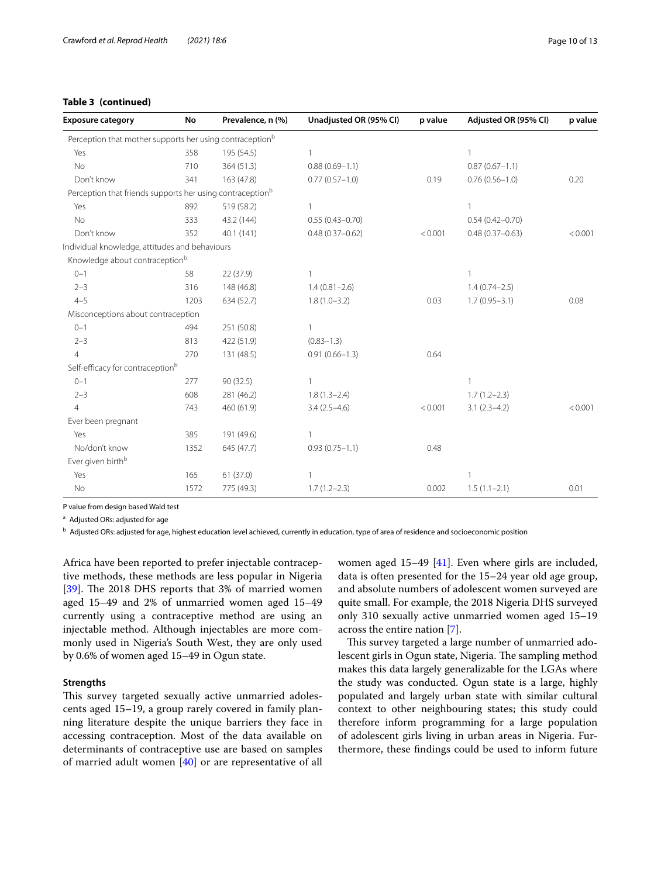# **Table 3 (continued)**

| <b>Exposure category</b>                                              | No   | Prevalence, n (%) | Unadjusted OR (95% CI) | p value | Adjusted OR (95% CI) | p value |
|-----------------------------------------------------------------------|------|-------------------|------------------------|---------|----------------------|---------|
| Perception that mother supports her using contraception <sup>b</sup>  |      |                   |                        |         |                      |         |
| Yes                                                                   | 358  | 195 (54.5)        | 1                      |         | 1                    |         |
| No                                                                    | 710  | 364 (51.3)        | $0.88(0.69 - 1.1)$     |         | $0.87(0.67 - 1.1)$   |         |
| Don't know                                                            | 341  | 163 (47.8)        | $0.77(0.57 - 1.0)$     | 0.19    | $0.76(0.56 - 1.0)$   | 0.20    |
| Perception that friends supports her using contraception <sup>b</sup> |      |                   |                        |         |                      |         |
| Yes                                                                   | 892  | 519 (58.2)        | $\mathbf{1}$           |         | 1                    |         |
| <b>No</b>                                                             | 333  | 43.2 (144)        | $0.55(0.43 - 0.70)$    |         | $0.54(0.42 - 0.70)$  |         |
| Don't know                                                            | 352  | 40.1 (141)        | $0.48(0.37 - 0.62)$    | < 0.001 | $0.48(0.37 - 0.63)$  | < 0.001 |
| Individual knowledge, attitudes and behaviours                        |      |                   |                        |         |                      |         |
| Knowledge about contraception <sup>b</sup>                            |      |                   |                        |         |                      |         |
| $0 - 1$                                                               | 58   | 22 (37.9)         |                        |         |                      |         |
| $2 - 3$                                                               | 316  | 148 (46.8)        | $1.4(0.81 - 2.6)$      |         | $1.4(0.74 - 2.5)$    |         |
| $4 - 5$                                                               | 1203 | 634 (52.7)        | $1.8(1.0-3.2)$         | 0.03    | $1.7(0.95 - 3.1)$    | 0.08    |
| Misconceptions about contraception                                    |      |                   |                        |         |                      |         |
| $0 - 1$                                                               | 494  | 251 (50.8)        | 1                      |         |                      |         |
| $2 - 3$                                                               | 813  | 422 (51.9)        | $(0.83 - 1.3)$         |         |                      |         |
| $\overline{4}$                                                        | 270  | 131 (48.5)        | $0.91(0.66 - 1.3)$     | 0.64    |                      |         |
| Self-efficacy for contraception <sup>b</sup>                          |      |                   |                        |         |                      |         |
| $0 - 1$                                                               | 277  | 90(32.5)          | 1                      |         | 1                    |         |
| $2 - 3$                                                               | 608  | 281 (46.2)        | $1.8(1.3-2.4)$         |         | $1.7(1.2 - 2.3)$     |         |
| $\overline{4}$                                                        | 743  | 460 (61.9)        | $3.4(2.5-4.6)$         | < 0.001 | $3.1(2.3-4.2)$       | < 0.001 |
| Ever been pregnant                                                    |      |                   |                        |         |                      |         |
| Yes                                                                   | 385  | 191 (49.6)        | $\mathbf{1}$           |         |                      |         |
| No/don't know                                                         | 1352 | 645 (47.7)        | $0.93(0.75 - 1.1)$     | 0.48    |                      |         |
| Ever given birth <sup>b</sup>                                         |      |                   |                        |         |                      |         |
| Yes                                                                   | 165  | 61(37.0)          | $\mathbf{1}$           |         | 1                    |         |
| No                                                                    | 1572 | 775 (49.3)        | $1.7(1.2 - 2.3)$       | 0.002   | $1.5(1.1-2.1)$       | 0.01    |

P value from design based Wald test

<sup>a</sup> Adjusted ORs: adjusted for age

<sup>b</sup> Adjusted ORs: adjusted for age, highest education level achieved, currently in education, type of area of residence and socioeconomic position

Africa have been reported to prefer injectable contraceptive methods, these methods are less popular in Nigeria [ $39$ ]. The 2018 DHS reports that 3% of married women aged 15–49 and 2% of unmarried women aged 15–49 currently using a contraceptive method are using an injectable method. Although injectables are more commonly used in Nigeria's South West, they are only used by 0.6% of women aged 15–49 in Ogun state.

### **Strengths**

This survey targeted sexually active unmarried adolescents aged 15–19, a group rarely covered in family planning literature despite the unique barriers they face in accessing contraception. Most of the data available on determinants of contraceptive use are based on samples of married adult women [[40](#page-12-3)] or are representative of all women aged 15–49 [\[41](#page-12-4)]. Even where girls are included, data is often presented for the 15–24 year old age group, and absolute numbers of adolescent women surveyed are quite small. For example, the 2018 Nigeria DHS surveyed only 310 sexually active unmarried women aged 15–19 across the entire nation [[7\]](#page-11-5).

This survey targeted a large number of unmarried adolescent girls in Ogun state, Nigeria. The sampling method makes this data largely generalizable for the LGAs where the study was conducted. Ogun state is a large, highly populated and largely urban state with similar cultural context to other neighbouring states; this study could therefore inform programming for a large population of adolescent girls living in urban areas in Nigeria. Furthermore, these fndings could be used to inform future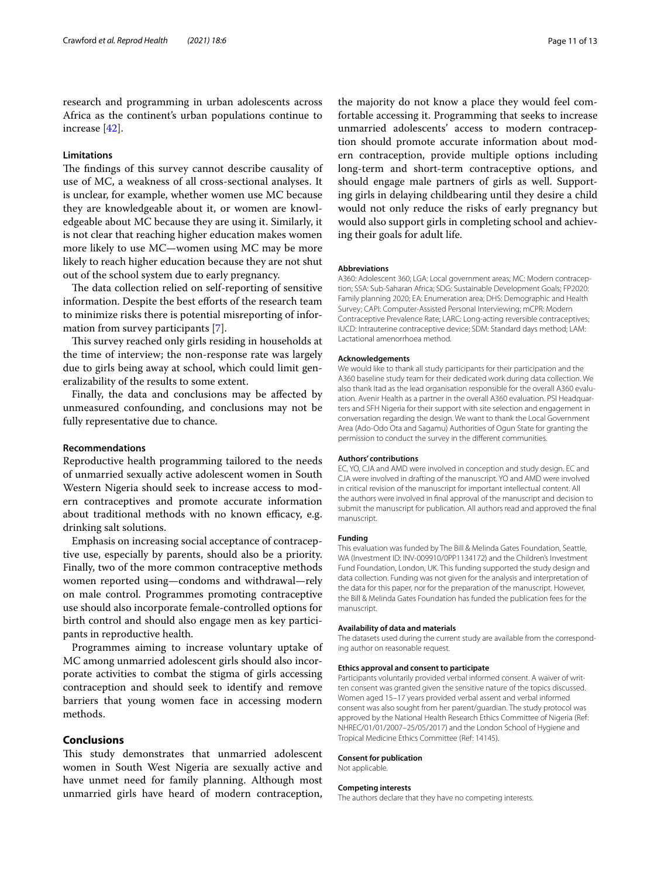research and programming in urban adolescents across Africa as the continent's urban populations continue to increase [[42\]](#page-12-5).

#### **Limitations**

The findings of this survey cannot describe causality of use of MC, a weakness of all cross-sectional analyses. It is unclear, for example, whether women use MC because they are knowledgeable about it, or women are knowledgeable about MC because they are using it. Similarly, it is not clear that reaching higher education makes women more likely to use MC—women using MC may be more likely to reach higher education because they are not shut out of the school system due to early pregnancy.

The data collection relied on self-reporting of sensitive information. Despite the best efforts of the research team to minimize risks there is potential misreporting of information from survey participants [\[7](#page-11-5)].

This survey reached only girls residing in households at the time of interview; the non-response rate was largely due to girls being away at school, which could limit generalizability of the results to some extent.

Finally, the data and conclusions may be afected by unmeasured confounding, and conclusions may not be fully representative due to chance.

#### **Recommendations**

Reproductive health programming tailored to the needs of unmarried sexually active adolescent women in South Western Nigeria should seek to increase access to modern contraceptives and promote accurate information about traditional methods with no known efficacy, e.g. drinking salt solutions.

Emphasis on increasing social acceptance of contraceptive use, especially by parents, should also be a priority. Finally, two of the more common contraceptive methods women reported using—condoms and withdrawal—rely on male control. Programmes promoting contraceptive use should also incorporate female-controlled options for birth control and should also engage men as key participants in reproductive health.

Programmes aiming to increase voluntary uptake of MC among unmarried adolescent girls should also incorporate activities to combat the stigma of girls accessing contraception and should seek to identify and remove barriers that young women face in accessing modern methods.

#### **Conclusions**

This study demonstrates that unmarried adolescent women in South West Nigeria are sexually active and have unmet need for family planning. Although most unmarried girls have heard of modern contraception,

the majority do not know a place they would feel comfortable accessing it. Programming that seeks to increase unmarried adolescents' access to modern contraception should promote accurate information about modern contraception, provide multiple options including long-term and short-term contraceptive options, and should engage male partners of girls as well. Supporting girls in delaying childbearing until they desire a child would not only reduce the risks of early pregnancy but would also support girls in completing school and achieving their goals for adult life.

#### **Abbreviations**

A360: Adolescent 360; LGA: Local government areas; MC: Modern contraception; SSA: Sub-Saharan Africa; SDG: Sustainable Development Goals; FP2020: Family planning 2020; EA: Enumeration area; DHS: Demographic and Health Survey; CAPI: Computer-Assisted Personal Interviewing; mCPR: Modern Contraceptive Prevalence Rate; LARC: Long-acting reversible contraceptives; IUCD: Intrauterine contraceptive device; SDM: Standard days method; LAM: Lactational amenorrhoea method.

#### **Acknowledgements**

We would like to thank all study participants for their participation and the A360 baseline study team for their dedicated work during data collection. We also thank Itad as the lead organisation responsible for the overall A360 evaluation. Avenir Health as a partner in the overall A360 evaluation. PSI Headquarters and SFH Nigeria for their support with site selection and engagement in conversation regarding the design. We want to thank the Local Government Area (Ado-Odo Ota and Sagamu) Authorities of Ogun State for granting the permission to conduct the survey in the diferent communities.

#### **Authors' contributions**

EC, YO, CJA and AMD were involved in conception and study design. EC and CJA were involved in drafting of the manuscript. YO and AMD were involved in critical revision of the manuscript for important intellectual content. All the authors were involved in fnal approval of the manuscript and decision to submit the manuscript for publication. All authors read and approved the fnal manuscript.

#### **Funding**

This evaluation was funded by The Bill & Melinda Gates Foundation, Seattle, WA (Investment ID: INV-009910/0PP1134172) and the Children's Investment Fund Foundation, London, UK. This funding supported the study design and data collection. Funding was not given for the analysis and interpretation of the data for this paper, nor for the preparation of the manuscript. However, the Bill & Melinda Gates Foundation has funded the publication fees for the manuscript.

#### **Availability of data and materials**

The datasets used during the current study are available from the corresponding author on reasonable request.

#### **Ethics approval and consent to participate**

Participants voluntarily provided verbal informed consent. A waiver of written consent was granted given the sensitive nature of the topics discussed. Women aged 15–17 years provided verbal assent and verbal informed consent was also sought from her parent/guardian. The study protocol was approved by the National Health Research Ethics Committee of Nigeria (Ref: NHREC/01/01/2007–25/05/2017) and the London School of Hygiene and Tropical Medicine Ethics Committee (Ref: 14145).

#### **Consent for publication**

Not applicable.

#### **Competing interests**

The authors declare that they have no competing interests.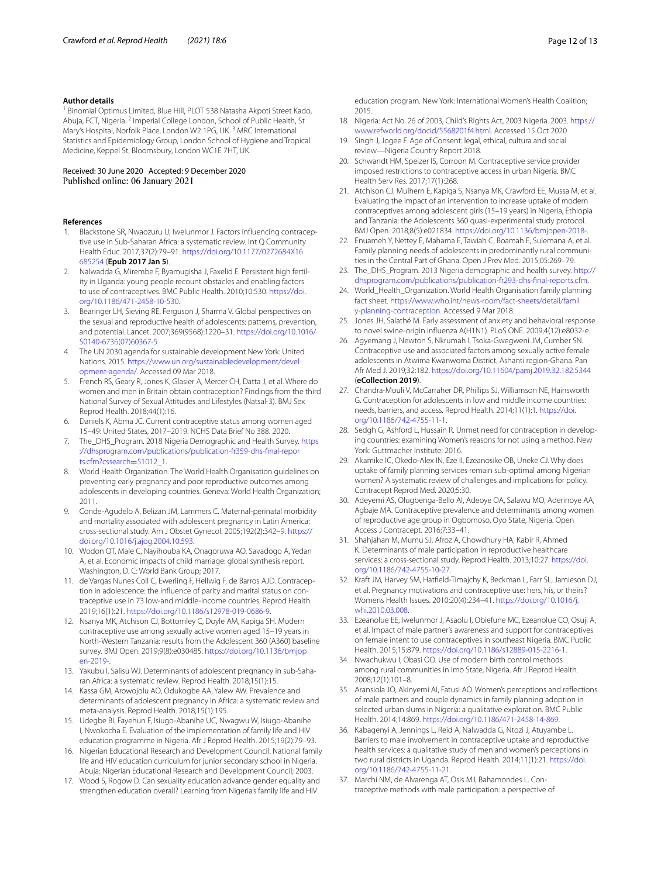#### **Author details**

<sup>1</sup> Binomial Optimus Limited, Blue Hill, PLOT 538 Natasha Akpoti Street Kado, Abuja, FCT, Nigeria. <sup>2</sup> Imperial College London, School of Public Health, St Mary's Hospital, Norfolk Place, London W2 1PG, UK.<sup>3</sup> MRC International Statistics and Epidemiology Group, London School of Hygiene and Tropical Medicine, Keppel St, Bloomsbury, London WC1E 7HT, UK.

# Received: 30 June 2020 Accepted: 9 December 2020<br>Published online: 06 January 2021

#### **References**

- <span id="page-11-0"></span>1. Blackstone SR, Nwaozuru U, Iwelunmor J. Factors infuencing contraceptive use in Sub-Saharan Africa: a systematic review. Int Q Community Health Educ. 2017;37(2):79–91. [https://doi.org/10.1177/0272684X16](https://doi.org/10.1177/0272684X16685254) [685254](https://doi.org/10.1177/0272684X16685254) (**Epub 2017 Jan 5**).
- <span id="page-11-1"></span>2. Nalwadda G, Mirembe F, Byamugisha J, Faxelid E. Persistent high fertility in Uganda: young people recount obstacles and enabling factors to use of contraceptives. BMC Public Health. 2010;10:530. [https://doi.](https://doi.org/10.1186/471-2458-10-530) [org/10.1186/471-2458-10-530](https://doi.org/10.1186/471-2458-10-530).
- <span id="page-11-2"></span>3. Bearinger LH, Sieving RE, Ferguson J, Sharma V. Global perspectives on the sexual and reproductive health of adolescents: patterns, prevention, and potential. Lancet. 2007;369(9568):1220–31. [https://doi.org/10.1016/](https://doi.org/10.1016/S0140-6736(07)60367-5) [S0140-6736\(07\)60367-5](https://doi.org/10.1016/S0140-6736(07)60367-5)
- <span id="page-11-3"></span>4. The UN 2030 agenda for sustainable development New York: United Nations. 2015. [https://www.un.org/sustainabledevelopment/devel](https://www.un.org/sustainabledevelopment/development-agenda/) [opment-agenda/](https://www.un.org/sustainabledevelopment/development-agenda/). Accessed 09 Mar 2018.
- <span id="page-11-4"></span>5. French RS, Geary R, Jones K, Glasier A, Mercer CH, Datta J, et al. Where do women and men in Britain obtain contraception? Findings from the third National Survey of Sexual Attitudes and Lifestyles (Natsal-3). BMJ Sex Reprod Health. 2018;44(1):16.
- 6. Daniels K, Abma JC. Current contraceptive status among women aged 15–49: United States, 2017–2019. NCHS Data Brief No 388. 2020.
- <span id="page-11-5"></span>7. The\_DHS\_Program. 2018 Nigeria Demographic and Health Survey. [https](https://dhsprogram.com/publications/publication-fr359-dhs-final-reports.cfm?cssearch=51012_1) [://dhsprogram.com/publications/publication-fr359-dhs-fnal-repor](https://dhsprogram.com/publications/publication-fr359-dhs-final-reports.cfm?cssearch=51012_1) [ts.cfm?cssearch](https://dhsprogram.com/publications/publication-fr359-dhs-final-reports.cfm?cssearch=51012_1)=51012\_1.
- <span id="page-11-6"></span>8. World Health Organization. The World Health Organisation guidelines on preventing early pregnancy and poor reproductive outcomes among adolescents in developing countries. Geneva: World Health Organization; 2011.
- <span id="page-11-7"></span>9. Conde-Agudelo A, Belizan JM, Lammers C. Maternal-perinatal morbidity and mortality associated with adolescent pregnancy in Latin America: cross-sectional study. Am J Obstet Gynecol. 2005;192(2):342–9. [https://](https://doi.org/10.1016/j.ajog.2004.10.593) [doi.org/10.1016/j.ajog.2004.10.593](https://doi.org/10.1016/j.ajog.2004.10.593).
- <span id="page-11-8"></span>10. Wodon QT, Male C, Nayihouba KA, Onagoruwa AO, Savadogo A, Yedan A, et al. Economic impacts of child marriage: global synthesis report. Washington, D. C: World Bank Group; 2017.
- <span id="page-11-9"></span>11. de Vargas Nunes Coll C, Ewerling F, Hellwig F, de Barros AJD. Contraception in adolescence: the infuence of parity and marital status on contraceptive use in 73 low-and middle-income countries. Reprod Health. 2019;16(1):21.<https://doi.org/10.1186/s12978-019-0686-9>.
- <span id="page-11-10"></span>12. Nsanya MK, Atchison CJ, Bottomley C, Doyle AM, Kapiga SH. Modern contraceptive use among sexually active women aged 15–19 years in North-Western Tanzania: results from the Adolescent 360 (A360) baseline survey. BMJ Open. 2019;9(8):e030485. [https://doi.org/10.1136/bmjop](https://doi.org/10.1136/bmjopen-2019-) [en-2019-](https://doi.org/10.1136/bmjopen-2019-).
- <span id="page-11-11"></span>13. Yakubu I, Salisu WJ. Determinants of adolescent pregnancy in sub-Saharan Africa: a systematic review. Reprod Health. 2018;15(1):15.
- <span id="page-11-12"></span>14. Kassa GM, Arowojolu AO, Odukogbe AA, Yalew AW. Prevalence and determinants of adolescent pregnancy in Africa: a systematic review and meta-analysis. Reprod Health. 2018;15(1):195.
- <span id="page-11-13"></span>15. Udegbe BI, Fayehun F, Isiugo-Abanihe UC, Nwagwu W, Isiugo-Abanihe I, Nwokocha E. Evaluation of the implementation of family life and HIV education programme in Nigeria. Afr J Reprod Health. 2015;19(2):79–93.
- 16. Nigerian Educational Research and Development Council. National family life and HIV education curriculum for junior secondary school in Nigeria. Abuja: Nigerian Educational Research and Development Council; 2003.
- <span id="page-11-14"></span>17. Wood S, Rogow D. Can sexuality education advance gender equality and strengthen education overall? Learning from Nigeria's family life and HIV

education program. New York: International Women's Health Coalition; 2015.

- <span id="page-11-15"></span>18. Nigeria: Act No. 26 of 2003, Child's Rights Act, 2003 Nigeria. 2003. [https://](https://www.refworld.org/docid/5568201f4.html) [www.refworld.org/docid/5568201f4.html](https://www.refworld.org/docid/5568201f4.html). Accessed 15 Oct 2020
- <span id="page-11-16"></span>19. Singh J, Jogee F. Age of Consent: legal, ethical, cultura and social review—Nigeria Country Report 2018.
- <span id="page-11-17"></span>20. Schwandt HM, Speizer IS, Corroon M. Contraceptive service provider imposed restrictions to contraceptive access in urban Nigeria. BMC Health Serv Res. 2017;17(1):268.
- <span id="page-11-18"></span>21. Atchison CJ, Mulhern E, Kapiga S, Nsanya MK, Crawford EE, Mussa M, et al. Evaluating the impact of an intervention to increase uptake of modern contraceptives among adolescent girls (15–19 years) in Nigeria, Ethiopia and Tanzania: the Adolescents 360 quasi-experimental study protocol. BMJ Open. 2018;8(5):e021834.<https://doi.org/10.1136/bmjopen-2018->.
- <span id="page-11-19"></span>22. Enuameh Y, Nettey E, Mahama E, Tawiah C, Boamah E, Sulemana A, et al. Family planning needs of adolescents in predominantly rural communities in the Central Part of Ghana. Open J Prev Med. 2015;05:269–79.
- <span id="page-11-21"></span>23. The\_DHS\_Program. 2013 Nigeria demographic and health survey. [http://](http://dhsprogram.com/publications/publication-fr293-dhs-final-reports.cfm) [dhsprogram.com/publications/publication-fr293-dhs-fnal-reports.cfm.](http://dhsprogram.com/publications/publication-fr293-dhs-final-reports.cfm)
- <span id="page-11-20"></span>24. World\_Health\_Organization. World Health Organisation family planning fact sheet. [https://www.who.int/news-room/fact-sheets/detail/famil](https://www.who.int/news-room/fact-sheets/detail/family-planning-contraception) [y-planning-contraception.](https://www.who.int/news-room/fact-sheets/detail/family-planning-contraception) Accessed 9 Mar 2018.
- <span id="page-11-22"></span>25. Jones JH, Salathé M. Early assessment of anxiety and behavioral response to novel swine-origin infuenza A(H1N1). PLoS ONE. 2009;4(12):e8032-e.
- <span id="page-11-23"></span>26. Agyemang J, Newton S, Nkrumah I, Tsoka-Gwegweni JM, Cumber SN. Contraceptive use and associated factors among sexually active female adolescents in Atwima Kwanwoma District, Ashanti region-Ghana. Pan Afr Med J. 2019;32:182.<https://doi.org/10.11604/pamj.2019.32.182.5344> (**eCollection 2019**).
- <span id="page-11-25"></span>27. Chandra-Mouli V, McCarraher DR, Phillips SJ, Williamson NE, Hainsworth G. Contraception for adolescents in low and middle income countries: needs, barriers, and access. Reprod Health. 2014;11(1):1. [https://doi.](https://doi.org/10.1186/742-4755-11-1) [org/10.1186/742-4755-11-1.](https://doi.org/10.1186/742-4755-11-1)
- <span id="page-11-24"></span>28. Sedgh G, Ashford L, Hussain R. Unmet need for contraception in developing countries: examining Women's reasons for not using a method. New York: Guttmacher Institute; 2016.
- <span id="page-11-26"></span>29. Akamike IC, Okedo-Alex IN, Eze II, Ezeanosike OB, Uneke CJ. Why does uptake of family planning services remain sub-optimal among Nigerian women? A systematic review of challenges and implications for policy. Contracept Reprod Med. 2020;5:30.
- <span id="page-11-27"></span>30. Adeyemi AS, Olugbenga-Bello AI, Adeoye OA, Salawu MO, Aderinoye AA, Agbaje MA. Contraceptive prevalence and determinants among women of reproductive age group in Ogbomoso, Oyo State, Nigeria. Open Access J Contracept. 2016;7:33–41.
- <span id="page-11-28"></span>31. Shahjahan M, Mumu SJ, Afroz A, Chowdhury HA, Kabir R, Ahmed K. Determinants of male participation in reproductive healthcare services: a cross-sectional study. Reprod Health. 2013;10:27. [https://doi.](https://doi.org/10.1186/742-4755-10-27) [org/10.1186/742-4755-10-27](https://doi.org/10.1186/742-4755-10-27).
- 32. Kraft JM, Harvey SM, Hatfeld-Timajchy K, Beckman L, Farr SL, Jamieson DJ, et al. Pregnancy motivations and contraceptive use: hers, his, or theirs? Womens Health Issues. 2010;20(4):234–41. [https://doi.org/10.1016/j.](https://doi.org/10.1016/j.whi.2010.03.008) [whi.2010.03.008.](https://doi.org/10.1016/j.whi.2010.03.008)
- 33. Ezeanolue EE, Iwelunmor J, Asaolu I, Obiefune MC, Ezeanolue CO, Osuji A, et al. Impact of male partner's awareness and support for contraceptives on female intent to use contraceptives in southeast Nigeria. BMC Public Health. 2015;15:879. [https://doi.org/10.1186/s12889-015-2216-1.](https://doi.org/10.1186/s12889-015-2216-1)
- <span id="page-11-29"></span>34. Nwachukwu I, Obasi OO. Use of modern birth control methods among rural communities in Imo State, Nigeria. Afr J Reprod Health. 2008;12(1):101–8.
- <span id="page-11-30"></span>35. Aransiola JO, Akinyemi AI, Fatusi AO. Women's perceptions and refections of male partners and couple dynamics in family planning adoption in selected urban slums in Nigeria: a qualitative exploration. BMC Public Health. 2014;14:869. <https://doi.org/10.1186/471-2458-14-869>.
- <span id="page-11-31"></span>36. Kabagenyi A, Jennings L, Reid A, Nalwadda G, Ntozi J, Atuyambe L. Barriers to male involvement in contraceptive uptake and reproductive health services: a qualitative study of men and women's perceptions in two rural districts in Uganda. Reprod Health. 2014;11(1):21. [https://doi.](https://doi.org/10.1186/742-4755-11-21) [org/10.1186/742-4755-11-21](https://doi.org/10.1186/742-4755-11-21).
- <span id="page-11-32"></span>37. Marchi NM, de Alvarenga AT, Osis MJ, Bahamondes L. Contraceptive methods with male participation: a perspective of